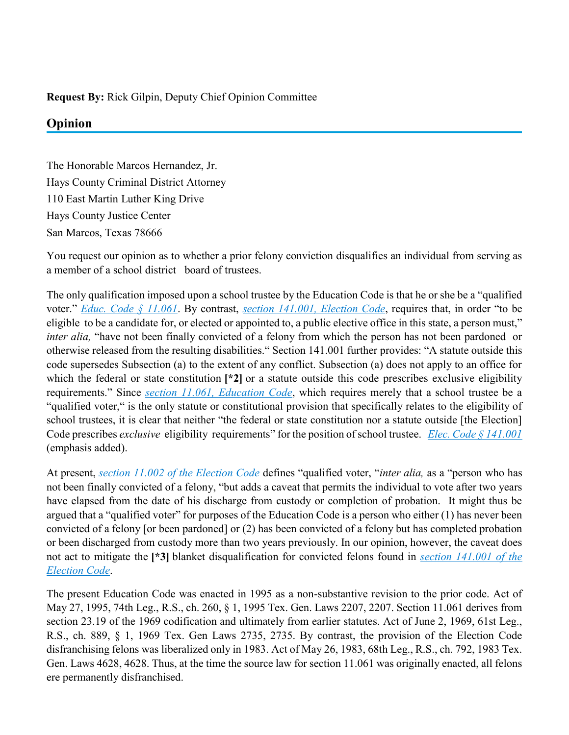## **Request By:** Rick Gilpin, Deputy Chief Opinion Committee

## **Opinion**

The Honorable Marcos Hernandez, Jr. Hays County Criminal District Attorney 110 East Martin Luther King Drive Hays County Justice Center San Marcos, Texas 78666

You request our opinion as to whether a prior felony conviction disqualifies an individual from serving as a member of a school district board of trustees.

The only qualification imposed upon a school trustee by the Education Code is that he or she be a "qualified voter." *[Educ. Code § 11.061](https://advance.lexis.com/api/document?collection=statutes-legislation&id=urn:contentItem:5DDJ-BG91-6MP4-00RN-00000-00&context=)*. By contrast, *[section 141.001, Election Code](https://advance.lexis.com/api/document?collection=statutes-legislation&id=urn:contentItem:5G7X-MPM1-DXC8-01N0-00000-00&context=)*, requires that, in order "to be eligible to be a candidate for, or elected or appointed to, a public elective office in this state, a person must," *inter alia*, "have not been finally convicted of a felony from which the person has not been pardoned or otherwise released from the resulting disabilities." Section 141.001 further provides: "A statute outside this code supersedes Subsection (a) to the extent of any conflict. Subsection (a) does not apply to an office for which the federal or state constitution  $[2]$  or a statute outside this code prescribes exclusive eligibility requirements." Since *[section 11.061, Education Code](https://advance.lexis.com/api/document?collection=statutes-legislation&id=urn:contentItem:5DDJ-BG91-6MP4-00RN-00000-00&context=)*, which requires merely that a school trustee be a "qualified voter," is the only statute or constitutional provision that specifically relates to the eligibility of school trustees, it is clear that neither "the federal or state constitution nor a statute outside [the Election] Code prescribes *exclusive* eligibility requirements" for the position of school trustee. *[Elec. Code § 141.001](https://advance.lexis.com/api/document?collection=statutes-legislation&id=urn:contentItem:5G7X-MPM1-DXC8-01N0-00000-00&context=)* (emphasis added).

At present, *[section 11.002 of the Election Code](https://advance.lexis.com/api/document?collection=statutes-legislation&id=urn:contentItem:5DDJ-BJ51-6MP4-006M-00000-00&context=)* defines "qualified voter, "*inter alia,* as a "person who has not been finally convicted of a felony, "but adds a caveat that permits the individual to vote after two years have elapsed from the date of his discharge from custody or completion of probation. It might thus be argued that a "qualified voter" for purposes of the Education Code is a person who either (1) has never been convicted of a felony [or been pardoned] or (2) has been convicted of a felony but has completed probation or been discharged from custody more than two years previously. In our opinion, however, the caveat does not act to mitigate the **[\*3]** blanket disqualification for convicted felons found in *[section 141.001 of the](https://advance.lexis.com/api/document?collection=statutes-legislation&id=urn:contentItem:5G7X-MPM1-DXC8-01N0-00000-00&context=)  [Election Code](https://advance.lexis.com/api/document?collection=statutes-legislation&id=urn:contentItem:5G7X-MPM1-DXC8-01N0-00000-00&context=)*.

The present Education Code was enacted in 1995 as a non-substantive revision to the prior code. Act of May 27, 1995, 74th Leg., R.S., ch. 260, § 1, 1995 Tex. Gen. Laws 2207, 2207. Section 11.061 derives from section 23.19 of the 1969 codification and ultimately from earlier statutes. Act of June 2, 1969, 61st Leg., R.S., ch. 889, § 1, 1969 Tex. Gen Laws 2735, 2735. By contrast, the provision of the Election Code disfranchising felons was liberalized only in 1983. Act of May 26, 1983, 68th Leg., R.S., ch. 792, 1983 Tex. Gen. Laws 4628, 4628. Thus, at the time the source law for section 11.061 was originally enacted, all felons ere permanently disfranchised.